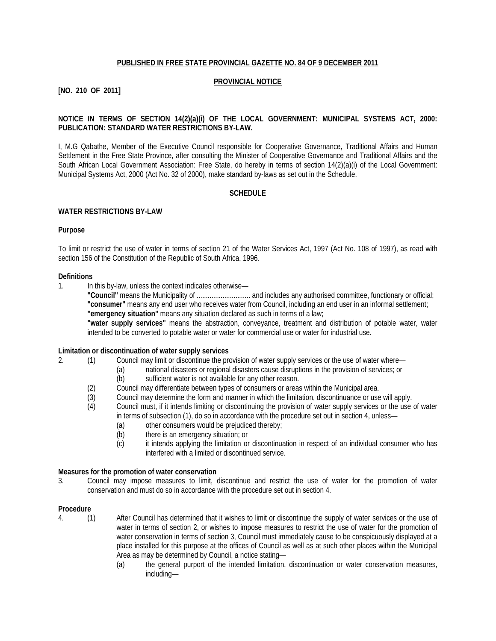### **PUBLISHED IN FREE STATE PROVINCIAL GAZETTE NO. 84 OF 9 DECEMBER 2011**

### **PROVINCIAL NOTICE**

# **[NO. 210 OF 2011]**

## **NOTICE IN TERMS OF SECTION 14(2)(a)(i) OF THE LOCAL GOVERNMENT: MUNICIPAL SYSTEMS ACT, 2000: PUBLICATION: STANDARD WATER RESTRICTIONS BY-LAW.**

I, M.G Qabathe, Member of the Executive Council responsible for Cooperative Governance, Traditional Affairs and Human Settlement in the Free State Province, after consulting the Minister of Cooperative Governance and Traditional Affairs and the South African Local Government Association: Free State, do hereby in terms of section 14(2)(a)(i) of the Local Government: Municipal Systems Act, 2000 (Act No. 32 of 2000), make standard by-laws as set out in the Schedule.

### **SCHEDULE**

### **WATER RESTRICTIONS BY-LAW**

### **Purpose**

To limit or restrict the use of water in terms of section 21 of the Water Services Act, 1997 (Act No. 108 of 1997), as read with section 156 of the Constitution of the Republic of South Africa, 1996.

#### **Definitions**

1. In this by-law, unless the context indicates otherwise—

**"Council"** means the Municipality of ............................. and includes any authorised committee, functionary or official; **"consumer"** means any end user who receives water from Council, including an end user in an informal settlement; **"emergency situation"** means any situation declared as such in terms of a law;

**"water supply services"** means the abstraction, conveyance, treatment and distribution of potable water, water intended to be converted to potable water or water for commercial use or water for industrial use.

#### **Limitation or discontinuation of water supply services**

- 2. (1) Council may limit or discontinue the provision of water supply services or the use of water where—
	- (a) national disasters or regional disasters cause disruptions in the provision of services; or (b) sufficient water is not available for any other reason.
		- sufficient water is not available for any other reason.
	- (2) Council may differentiate between types of consumers or areas within the Municipal area.<br>(3) Council may determine the form and manner in which the limitation, discontinuance or use
	- Council may determine the form and manner in which the limitation, discontinuance or use will apply.
	- (4) Council must, if it intends limiting or discontinuing the provision of water supply services or the use of water in terms of subsection (1), do so in accordance with the procedure set out in section 4, unless—
		- (a) other consumers would be prejudiced thereby;
		- (b) there is an emergency situation; or
		- (c) it intends applying the limitation or discontinuation in respect of an individual consumer who has interfered with a limited or discontinued service.

### **Measures for the promotion of water conservation**

3. Council may impose measures to limit, discontinue and restrict the use of water for the promotion of water conservation and must do so in accordance with the procedure set out in section 4.

#### **Procedure**

- 4. (1) After Council has determined that it wishes to limit or discontinue the supply of water services or the use of water in terms of section 2, or wishes to impose measures to restrict the use of water for the promotion of water conservation in terms of section 3, Council must immediately cause to be conspicuously displayed at a place installed for this purpose at the offices of Council as well as at such other places within the Municipal Area as may be determined by Council, a notice stating—
	- (a) the general purport of the intended limitation, discontinuation or water conservation measures, including—